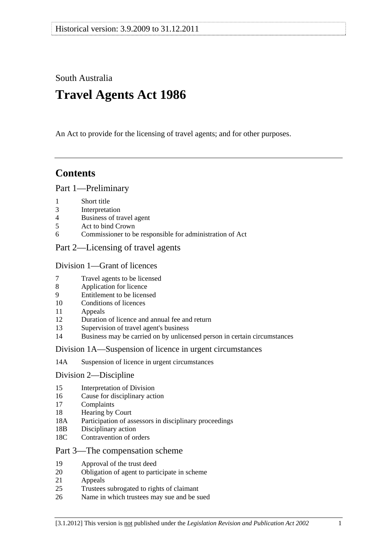South Australia

# **Travel Agents Act 1986**

An Act to provide for the licensing of travel agents; and for other purposes.

# **Contents**

# [Part 1—Preliminary](#page-1-0)

- [1 Short title](#page-1-0)
- [3 Interpretation](#page-1-0)
- [4 Business of travel agent](#page-2-0)
- [5 Act to bind Crown](#page-2-0)
- [6 Commissioner to be responsible for administration of Act](#page-3-0)

# [Part 2—Licensing of travel agents](#page-3-0)

# [Division 1—Grant of licences](#page-3-0)

- [7 Travel agents to be licensed](#page-3-0)
- [8 Application for licence](#page-3-0)
- [9 Entitlement to be licensed](#page-4-0)
- [10 Conditions of licences](#page-5-0)
- [11 Appeals](#page-5-0)
- [12 Duration of licence and annual fee and return](#page-5-0)
- [13 Supervision of travel agent's business](#page-6-0)
- [14 Business may be carried on by unlicensed person in certain circumstances](#page-6-0)

# [Division 1A—Suspension of licence in urgent circumstances](#page-6-0)

[14A Suspension of licence in urgent circumstances](#page-6-0) 

# [Division 2—Discipline](#page-7-0)

- [15 Interpretation of Division](#page-7-0)
- [16 Cause for disciplinary action](#page-7-0)
- [17 Complaints](#page-8-0)
- [18 Hearing by Court](#page-8-0)
- [18A Participation of assessors in disciplinary proceedings](#page-8-0)
- [18B Disciplinary action](#page-8-0)
- [18C Contravention of orders](#page-9-0)

# [Part 3—The compensation scheme](#page-9-0)

- [19 Approval of the trust deed](#page-9-0)
- [20 Obligation of agent to participate in scheme](#page-10-0)
- [21 Appeals](#page-10-0)
- [25 Trustees subrogated to rights of claimant](#page-10-0)
- [26 Name in which trustees may sue and be sued](#page-10-0)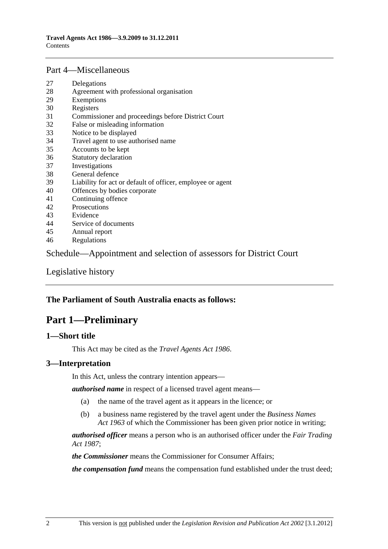#### <span id="page-1-0"></span>[Part 4—Miscellaneous](#page-10-0)

- [27 Delegations](#page-10-0)
- [28 Agreement with professional organisation](#page-11-0)
- [29 Exemptions](#page-12-0)
- [30 Registers](#page-12-0)
- [31 Commissioner and proceedings before District Court](#page-12-0)
- [32 False or misleading information](#page-12-0)
- [33 Notice to be displayed](#page-13-0)
- [34 Travel agent to use authorised name](#page-13-0)
- [35 Accounts to be kept](#page-13-0)
- [36 Statutory declaration](#page-13-0)
- [37 Investigations](#page-13-0)
- [38 General defence](#page-14-0)
- [39 Liability for act or default of officer, employee or agent](#page-14-0)
- [40 Offences by bodies corporate](#page-14-0)
- [41 Continuing offence](#page-14-0)
- [42 Prosecutions](#page-14-0)
- [43 Evidence](#page-15-0)
- [44 Service of documents](#page-15-0)
- [45 Annual report](#page-15-0)
- [46 Regulations](#page-15-0)

[Schedule—Appointment and selection of assessors for District Court](#page-16-0) 

[Legislative history](#page-18-0) 

### **The Parliament of South Australia enacts as follows:**

# **Part 1—Preliminary**

#### **1—Short title**

This Act may be cited as the *Travel Agents Act 1986*.

#### **3—Interpretation**

In this Act, unless the contrary intention appears—

*authorised name* in respect of a licensed travel agent means—

- (a) the name of the travel agent as it appears in the licence; or
- (b) a business name registered by the travel agent under the *[Business Names](http://www.legislation.sa.gov.au/index.aspx?action=legref&type=act&legtitle=Business%20Names%20Act%201963)  [Act 1963](http://www.legislation.sa.gov.au/index.aspx?action=legref&type=act&legtitle=Business%20Names%20Act%201963)* of which the Commissioner has been given prior notice in writing;

*authorised officer* means a person who is an authorised officer under the *[Fair Trading](http://www.legislation.sa.gov.au/index.aspx?action=legref&type=act&legtitle=Fair%20Trading%20Act%201987)  [Act 1987](http://www.legislation.sa.gov.au/index.aspx?action=legref&type=act&legtitle=Fair%20Trading%20Act%201987)*;

*the Commissioner* means the Commissioner for Consumer Affairs;

*the compensation fund* means the compensation fund established under the trust deed;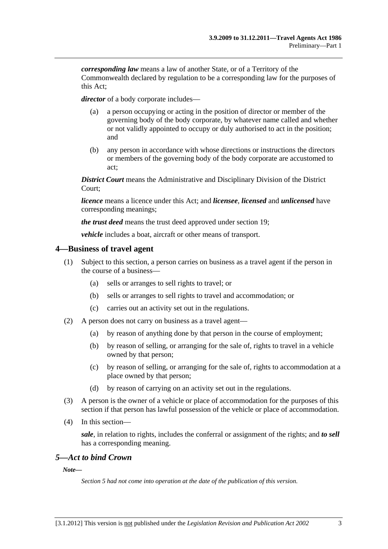<span id="page-2-0"></span>*corresponding law* means a law of another State, or of a Territory of the Commonwealth declared by regulation to be a corresponding law for the purposes of this Act;

*director* of a body corporate includes—

- (a) a person occupying or acting in the position of director or member of the governing body of the body corporate, by whatever name called and whether or not validly appointed to occupy or duly authorised to act in the position; and
- (b) any person in accordance with whose directions or instructions the directors or members of the governing body of the body corporate are accustomed to act;

*District Court* means the Administrative and Disciplinary Division of the District Court;

*licence* means a licence under this Act; and *licensee*, *licensed* and *unlicensed* have corresponding meanings;

*the trust deed* means the trust deed approved under [section 19](#page-9-0);

*vehicle* includes a boat, aircraft or other means of transport.

#### **4—Business of travel agent**

- (1) Subject to this section, a person carries on business as a travel agent if the person in the course of a business—
	- (a) sells or arranges to sell rights to travel; or
	- (b) sells or arranges to sell rights to travel and accommodation; or
	- (c) carries out an activity set out in the regulations.
- (2) A person does not carry on business as a travel agent—
	- (a) by reason of anything done by that person in the course of employment;
	- (b) by reason of selling, or arranging for the sale of, rights to travel in a vehicle owned by that person;
	- (c) by reason of selling, or arranging for the sale of, rights to accommodation at a place owned by that person;
	- (d) by reason of carrying on an activity set out in the regulations.
- (3) A person is the owner of a vehicle or place of accommodation for the purposes of this section if that person has lawful possession of the vehicle or place of accommodation.
- (4) In this section—

*sale*, in relation to rights, includes the conferral or assignment of the rights; and *to sell* has a corresponding meaning.

#### *5—Act to bind Crown*

*Note—* 

*Section 5 had not come into operation at the date of the publication of this version.*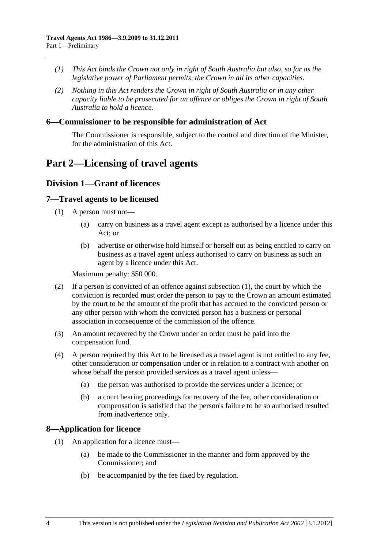- <span id="page-3-0"></span> *(1) This Act binds the Crown not only in right of South Australia but also, so far as the legislative power of Parliament permits, the Crown in all its other capacities.*
- *(2) Nothing in this Act renders the Crown in right of South Australia or in any other capacity liable to be prosecuted for an offence or obliges the Crown in right of South Australia to hold a licence.*

#### **6—Commissioner to be responsible for administration of Act**

The Commissioner is responsible, subject to the control and direction of the Minister, for the administration of this Act.

# **Part 2—Licensing of travel agents**

# **Division 1—Grant of licences**

#### **7—Travel agents to be licensed**

- (1) A person must not—
	- (a) carry on business as a travel agent except as authorised by a licence under this Act; or
	- (b) advertise or otherwise hold himself or herself out as being entitled to carry on business as a travel agent unless authorised to carry on business as such an agent by a licence under this Act.

Maximum penalty: \$50 000.

- (2) If a person is convicted of an offence against [subsection \(1\),](#page-3-0) the court by which the conviction is recorded must order the person to pay to the Crown an amount estimated by the court to be the amount of the profit that has accrued to the convicted person or any other person with whom the convicted person has a business or personal association in consequence of the commission of the offence.
- (3) An amount recovered by the Crown under an order must be paid into the compensation fund.
- (4) A person required by this Act to be licensed as a travel agent is not entitled to any fee, other consideration or compensation under or in relation to a contract with another on whose behalf the person provided services as a travel agent unless-
	- (a) the person was authorised to provide the services under a licence; or
	- (b) a court hearing proceedings for recovery of the fee, other consideration or compensation is satisfied that the person's failure to be so authorised resulted from inadvertence only.

# **8—Application for licence**

- (1) An application for a licence must—
	- (a) be made to the Commissioner in the manner and form approved by the Commissioner; and
	- (b) be accompanied by the fee fixed by regulation.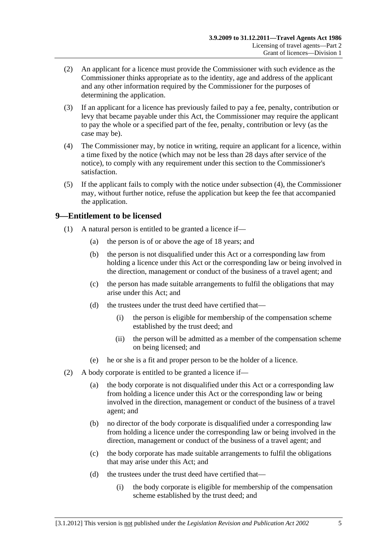- <span id="page-4-0"></span> (2) An applicant for a licence must provide the Commissioner with such evidence as the Commissioner thinks appropriate as to the identity, age and address of the applicant and any other information required by the Commissioner for the purposes of determining the application.
- (3) If an applicant for a licence has previously failed to pay a fee, penalty, contribution or levy that became payable under this Act, the Commissioner may require the applicant to pay the whole or a specified part of the fee, penalty, contribution or levy (as the case may be).
- (4) The Commissioner may, by notice in writing, require an applicant for a licence, within a time fixed by the notice (which may not be less than 28 days after service of the notice), to comply with any requirement under this section to the Commissioner's satisfaction.
- (5) If the applicant fails to comply with the notice under [subsection \(4\)](#page-4-0), the Commissioner may, without further notice, refuse the application but keep the fee that accompanied the application.

# **9—Entitlement to be licensed**

- (1) A natural person is entitled to be granted a licence if—
	- (a) the person is of or above the age of 18 years; and
	- (b) the person is not disqualified under this Act or a corresponding law from holding a licence under this Act or the corresponding law or being involved in the direction, management or conduct of the business of a travel agent; and
	- (c) the person has made suitable arrangements to fulfil the obligations that may arise under this Act; and
	- (d) the trustees under the trust deed have certified that—
		- (i) the person is eligible for membership of the compensation scheme established by the trust deed; and
		- (ii) the person will be admitted as a member of the compensation scheme on being licensed; and
	- (e) he or she is a fit and proper person to be the holder of a licence.
- (2) A body corporate is entitled to be granted a licence if—
	- (a) the body corporate is not disqualified under this Act or a corresponding law from holding a licence under this Act or the corresponding law or being involved in the direction, management or conduct of the business of a travel agent; and
	- (b) no director of the body corporate is disqualified under a corresponding law from holding a licence under the corresponding law or being involved in the direction, management or conduct of the business of a travel agent; and
	- (c) the body corporate has made suitable arrangements to fulfil the obligations that may arise under this Act; and
	- (d) the trustees under the trust deed have certified that—
		- (i) the body corporate is eligible for membership of the compensation scheme established by the trust deed; and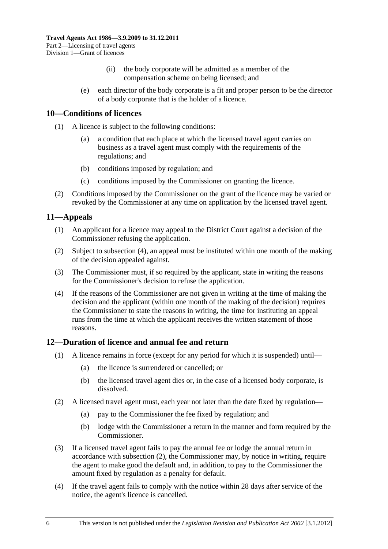- (ii) the body corporate will be admitted as a member of the compensation scheme on being licensed; and
- <span id="page-5-0"></span> (e) each director of the body corporate is a fit and proper person to be the director of a body corporate that is the holder of a licence.

# **10—Conditions of licences**

- (1) A licence is subject to the following conditions:
	- (a) a condition that each place at which the licensed travel agent carries on business as a travel agent must comply with the requirements of the regulations; and
	- (b) conditions imposed by regulation; and
	- (c) conditions imposed by the Commissioner on granting the licence.
- (2) Conditions imposed by the Commissioner on the grant of the licence may be varied or revoked by the Commissioner at any time on application by the licensed travel agent.

# **11—Appeals**

- (1) An applicant for a licence may appeal to the District Court against a decision of the Commissioner refusing the application.
- (2) Subject to [subsection \(4\),](#page-5-0) an appeal must be instituted within one month of the making of the decision appealed against.
- (3) The Commissioner must, if so required by the applicant, state in writing the reasons for the Commissioner's decision to refuse the application.
- (4) If the reasons of the Commissioner are not given in writing at the time of making the decision and the applicant (within one month of the making of the decision) requires the Commissioner to state the reasons in writing, the time for instituting an appeal runs from the time at which the applicant receives the written statement of those reasons.

# **12—Duration of licence and annual fee and return**

- (1) A licence remains in force (except for any period for which it is suspended) until—
	- (a) the licence is surrendered or cancelled; or
	- (b) the licensed travel agent dies or, in the case of a licensed body corporate, is dissolved.
- (2) A licensed travel agent must, each year not later than the date fixed by regulation—
	- (a) pay to the Commissioner the fee fixed by regulation; and
	- (b) lodge with the Commissioner a return in the manner and form required by the Commissioner.
- (3) If a licensed travel agent fails to pay the annual fee or lodge the annual return in accordance with [subsection \(2\)](#page-5-0), the Commissioner may, by notice in writing, require the agent to make good the default and, in addition, to pay to the Commissioner the amount fixed by regulation as a penalty for default.
- (4) If the travel agent fails to comply with the notice within 28 days after service of the notice, the agent's licence is cancelled.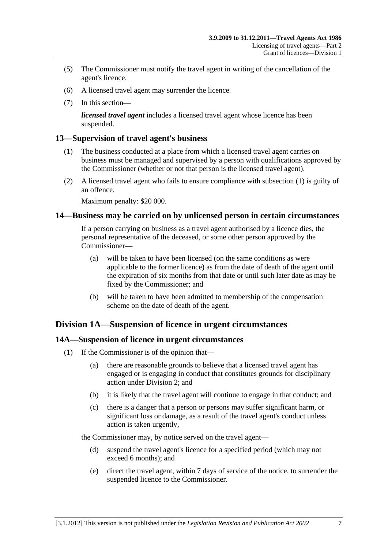- <span id="page-6-0"></span> (5) The Commissioner must notify the travel agent in writing of the cancellation of the agent's licence.
- (6) A licensed travel agent may surrender the licence.
- (7) In this section—

*licensed travel agent* includes a licensed travel agent whose licence has been suspended.

# **13—Supervision of travel agent's business**

- (1) The business conducted at a place from which a licensed travel agent carries on business must be managed and supervised by a person with qualifications approved by the Commissioner (whether or not that person is the licensed travel agent).
- (2) A licensed travel agent who fails to ensure compliance with [subsection \(1\)](#page-6-0) is guilty of an offence.

Maximum penalty: \$20 000.

# **14—Business may be carried on by unlicensed person in certain circumstances**

If a person carrying on business as a travel agent authorised by a licence dies, the personal representative of the deceased, or some other person approved by the Commissioner—

- (a) will be taken to have been licensed (on the same conditions as were applicable to the former licence) as from the date of death of the agent until the expiration of six months from that date or until such later date as may be fixed by the Commissioner; and
- (b) will be taken to have been admitted to membership of the compensation scheme on the date of death of the agent.

# **Division 1A—Suspension of licence in urgent circumstances**

# **14A—Suspension of licence in urgent circumstances**

- (1) If the Commissioner is of the opinion that—
	- (a) there are reasonable grounds to believe that a licensed travel agent has engaged or is engaging in conduct that constitutes grounds for disciplinary action under [Division 2;](#page-7-0) and
	- (b) it is likely that the travel agent will continue to engage in that conduct; and
	- (c) there is a danger that a person or persons may suffer significant harm, or significant loss or damage, as a result of the travel agent's conduct unless action is taken urgently,

the Commissioner may, by notice served on the travel agent—

- (d) suspend the travel agent's licence for a specified period (which may not exceed 6 months); and
- (e) direct the travel agent, within 7 days of service of the notice, to surrender the suspended licence to the Commissioner.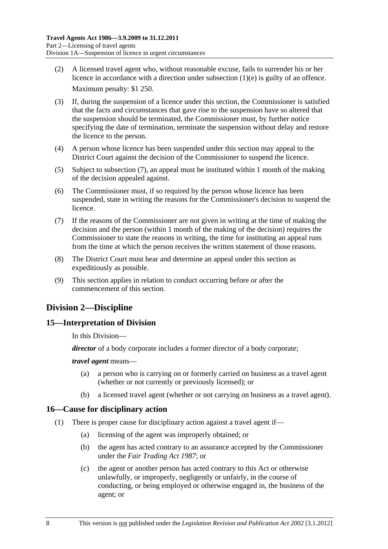- <span id="page-7-0"></span> (2) A licensed travel agent who, without reasonable excuse, fails to surrender his or her licence in accordance with a direction under [subsection \(1\)\(e\)](#page-6-0) is guilty of an offence. Maximum penalty: \$1 250.
- (3) If, during the suspension of a licence under this section, the Commissioner is satisfied that the facts and circumstances that gave rise to the suspension have so altered that the suspension should be terminated, the Commissioner must, by further notice specifying the date of termination, terminate the suspension without delay and restore the licence to the person.
- (4) A person whose licence has been suspended under this section may appeal to the District Court against the decision of the Commissioner to suspend the licence.
- (5) Subject to [subsection \(7\),](#page-7-0) an appeal must be instituted within 1 month of the making of the decision appealed against.
- (6) The Commissioner must, if so required by the person whose licence has been suspended, state in writing the reasons for the Commissioner's decision to suspend the licence.
- (7) If the reasons of the Commissioner are not given in writing at the time of making the decision and the person (within 1 month of the making of the decision) requires the Commissioner to state the reasons in writing, the time for instituting an appeal runs from the time at which the person receives the written statement of those reasons.
- (8) The District Court must hear and determine an appeal under this section as expeditiously as possible.
- (9) This section applies in relation to conduct occurring before or after the commencement of this section.

# **Division 2—Discipline**

# **15—Interpretation of Division**

In this Division—

*director* of a body corporate includes a former director of a body corporate;

#### *travel agent* means—

- (a) a person who is carrying on or formerly carried on business as a travel agent (whether or not currently or previously licensed); or
- (b) a licensed travel agent (whether or not carrying on business as a travel agent).

# **16—Cause for disciplinary action**

- (1) There is proper cause for disciplinary action against a travel agent if—
	- (a) licensing of the agent was improperly obtained; or
	- (b) the agent has acted contrary to an assurance accepted by the Commissioner under the *[Fair Trading Act 1987](http://www.legislation.sa.gov.au/index.aspx?action=legref&type=act&legtitle=Fair%20Trading%20Act%201987)*; or
	- (c) the agent or another person has acted contrary to this Act or otherwise unlawfully, or improperly, negligently or unfairly, in the course of conducting, or being employed or otherwise engaged in, the business of the agent; or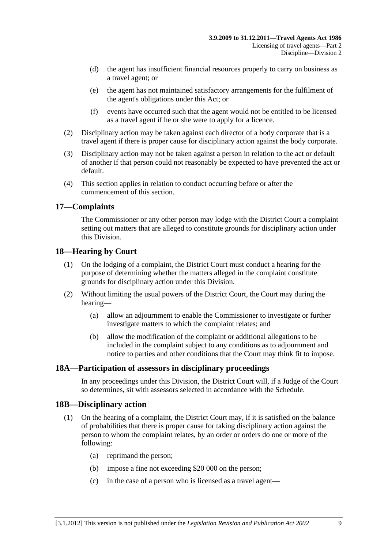- <span id="page-8-0"></span> (d) the agent has insufficient financial resources properly to carry on business as a travel agent; or
- (e) the agent has not maintained satisfactory arrangements for the fulfilment of the agent's obligations under this Act; or
- (f) events have occurred such that the agent would not be entitled to be licensed as a travel agent if he or she were to apply for a licence.
- (2) Disciplinary action may be taken against each director of a body corporate that is a travel agent if there is proper cause for disciplinary action against the body corporate.
- (3) Disciplinary action may not be taken against a person in relation to the act or default of another if that person could not reasonably be expected to have prevented the act or default.
- (4) This section applies in relation to conduct occurring before or after the commencement of this section.

# **17—Complaints**

The Commissioner or any other person may lodge with the District Court a complaint setting out matters that are alleged to constitute grounds for disciplinary action under this Division.

# **18—Hearing by Court**

- (1) On the lodging of a complaint, the District Court must conduct a hearing for the purpose of determining whether the matters alleged in the complaint constitute grounds for disciplinary action under this Division.
- (2) Without limiting the usual powers of the District Court, the Court may during the hearing—
	- (a) allow an adjournment to enable the Commissioner to investigate or further investigate matters to which the complaint relates; and
	- (b) allow the modification of the complaint or additional allegations to be included in the complaint subject to any conditions as to adjournment and notice to parties and other conditions that the Court may think fit to impose.

# **18A—Participation of assessors in disciplinary proceedings**

In any proceedings under this Division, the District Court will, if a Judge of the Court so determines, sit with assessors selected in accordance with the [Schedule](#page-16-0).

# **18B—Disciplinary action**

- (1) On the hearing of a complaint, the District Court may, if it is satisfied on the balance of probabilities that there is proper cause for taking disciplinary action against the person to whom the complaint relates, by an order or orders do one or more of the following:
	- (a) reprimand the person;
	- (b) impose a fine not exceeding \$20 000 on the person;
	- (c) in the case of a person who is licensed as a travel agent—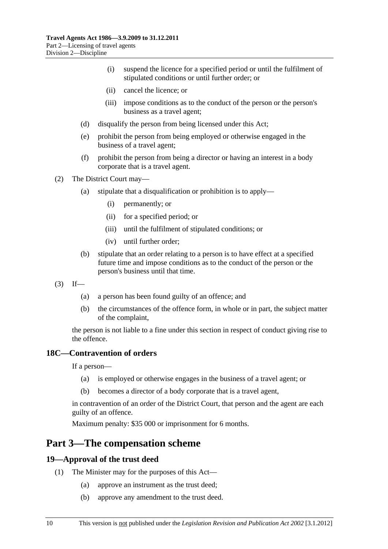- <span id="page-9-0"></span> (i) suspend the licence for a specified period or until the fulfilment of stipulated conditions or until further order; or
- (ii) cancel the licence; or
- (iii) impose conditions as to the conduct of the person or the person's business as a travel agent;
- (d) disqualify the person from being licensed under this Act;
- (e) prohibit the person from being employed or otherwise engaged in the business of a travel agent;
- (f) prohibit the person from being a director or having an interest in a body corporate that is a travel agent.

(2) The District Court may—

- (a) stipulate that a disqualification or prohibition is to apply—
	- (i) permanently; or
	- (ii) for a specified period; or
	- (iii) until the fulfilment of stipulated conditions; or
	- (iv) until further order;
- (b) stipulate that an order relating to a person is to have effect at a specified future time and impose conditions as to the conduct of the person or the person's business until that time.
- $(3)$  If—
	- (a) a person has been found guilty of an offence; and
	- (b) the circumstances of the offence form, in whole or in part, the subject matter of the complaint,

the person is not liable to a fine under this section in respect of conduct giving rise to the offence.

#### **18C—Contravention of orders**

If a person—

- (a) is employed or otherwise engages in the business of a travel agent; or
- (b) becomes a director of a body corporate that is a travel agent,

in contravention of an order of the District Court, that person and the agent are each guilty of an offence.

Maximum penalty: \$35 000 or imprisonment for 6 months.

# **Part 3—The compensation scheme**

#### **19—Approval of the trust deed**

- (1) The Minister may for the purposes of this Act—
	- (a) approve an instrument as the trust deed;
	- (b) approve any amendment to the trust deed.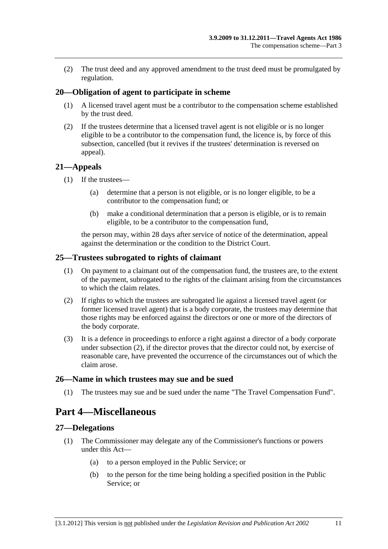<span id="page-10-0"></span> (2) The trust deed and any approved amendment to the trust deed must be promulgated by regulation.

### **20—Obligation of agent to participate in scheme**

- (1) A licensed travel agent must be a contributor to the compensation scheme established by the trust deed.
- (2) If the trustees determine that a licensed travel agent is not eligible or is no longer eligible to be a contributor to the compensation fund, the licence is, by force of this subsection, cancelled (but it revives if the trustees' determination is reversed on appeal).

#### **21—Appeals**

- (1) If the trustees—
	- (a) determine that a person is not eligible, or is no longer eligible, to be a contributor to the compensation fund; or
	- (b) make a conditional determination that a person is eligible, or is to remain eligible, to be a contributor to the compensation fund,

the person may, within 28 days after service of notice of the determination, appeal against the determination or the condition to the District Court.

#### **25—Trustees subrogated to rights of claimant**

- (1) On payment to a claimant out of the compensation fund, the trustees are, to the extent of the payment, subrogated to the rights of the claimant arising from the circumstances to which the claim relates.
- (2) If rights to which the trustees are subrogated lie against a licensed travel agent (or former licensed travel agent) that is a body corporate, the trustees may determine that those rights may be enforced against the directors or one or more of the directors of the body corporate.
- (3) It is a defence in proceedings to enforce a right against a director of a body corporate under [subsection \(2\),](#page-10-0) if the director proves that the director could not, by exercise of reasonable care, have prevented the occurrence of the circumstances out of which the claim arose.

#### **26—Name in which trustees may sue and be sued**

(1) The trustees may sue and be sued under the name "The Travel Compensation Fund".

# **Part 4—Miscellaneous**

#### **27—Delegations**

- (1) The Commissioner may delegate any of the Commissioner's functions or powers under this Act—
	- (a) to a person employed in the Public Service; or
	- (b) to the person for the time being holding a specified position in the Public Service; or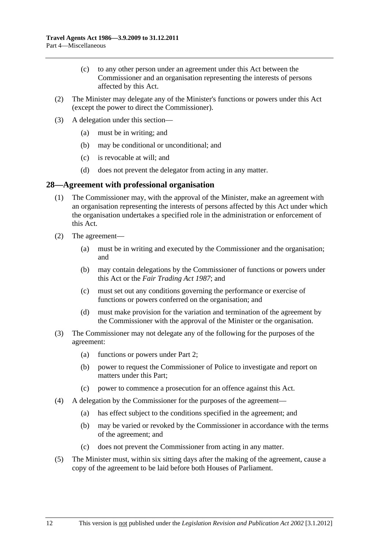- <span id="page-11-0"></span> (c) to any other person under an agreement under this Act between the Commissioner and an organisation representing the interests of persons affected by this Act.
- (2) The Minister may delegate any of the Minister's functions or powers under this Act (except the power to direct the Commissioner).
- (3) A delegation under this section—
	- (a) must be in writing; and
	- (b) may be conditional or unconditional; and
	- (c) is revocable at will; and
	- (d) does not prevent the delegator from acting in any matter.

#### **28—Agreement with professional organisation**

- (1) The Commissioner may, with the approval of the Minister, make an agreement with an organisation representing the interests of persons affected by this Act under which the organisation undertakes a specified role in the administration or enforcement of this Act.
- (2) The agreement—
	- (a) must be in writing and executed by the Commissioner and the organisation; and
	- (b) may contain delegations by the Commissioner of functions or powers under this Act or the *[Fair Trading Act 1987](http://www.legislation.sa.gov.au/index.aspx?action=legref&type=act&legtitle=Fair%20Trading%20Act%201987)*; and
	- (c) must set out any conditions governing the performance or exercise of functions or powers conferred on the organisation; and
	- (d) must make provision for the variation and termination of the agreement by the Commissioner with the approval of the Minister or the organisation.
- (3) The Commissioner may not delegate any of the following for the purposes of the agreement:
	- (a) functions or powers under [Part 2;](#page-3-0)
	- (b) power to request the Commissioner of Police to investigate and report on matters under this Part;
	- (c) power to commence a prosecution for an offence against this Act.
- (4) A delegation by the Commissioner for the purposes of the agreement—
	- (a) has effect subject to the conditions specified in the agreement; and
	- (b) may be varied or revoked by the Commissioner in accordance with the terms of the agreement; and
	- (c) does not prevent the Commissioner from acting in any matter.
- (5) The Minister must, within six sitting days after the making of the agreement, cause a copy of the agreement to be laid before both Houses of Parliament.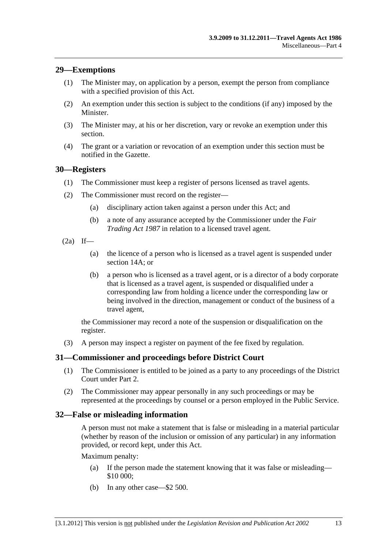### <span id="page-12-0"></span>**29—Exemptions**

- (1) The Minister may, on application by a person, exempt the person from compliance with a specified provision of this Act.
- (2) An exemption under this section is subject to the conditions (if any) imposed by the Minister.
- (3) The Minister may, at his or her discretion, vary or revoke an exemption under this section.
- (4) The grant or a variation or revocation of an exemption under this section must be notified in the Gazette.

#### **30—Registers**

- (1) The Commissioner must keep a register of persons licensed as travel agents.
- (2) The Commissioner must record on the register—
	- (a) disciplinary action taken against a person under this Act; and
	- (b) a note of any assurance accepted by the Commissioner under the *[Fair](http://www.legislation.sa.gov.au/index.aspx?action=legref&type=act&legtitle=Fair%20Trading%20Act%201987)  [Trading Act 1987](http://www.legislation.sa.gov.au/index.aspx?action=legref&type=act&legtitle=Fair%20Trading%20Act%201987)* in relation to a licensed travel agent.
- $(2a)$  If—
	- (a) the licence of a person who is licensed as a travel agent is suspended under [section 14A;](#page-6-0) or
	- (b) a person who is licensed as a travel agent, or is a director of a body corporate that is licensed as a travel agent, is suspended or disqualified under a corresponding law from holding a licence under the corresponding law or being involved in the direction, management or conduct of the business of a travel agent,

the Commissioner may record a note of the suspension or disqualification on the register.

(3) A person may inspect a register on payment of the fee fixed by regulation.

#### **31—Commissioner and proceedings before District Court**

- (1) The Commissioner is entitled to be joined as a party to any proceedings of the District Court under [Part 2](#page-3-0).
- (2) The Commissioner may appear personally in any such proceedings or may be represented at the proceedings by counsel or a person employed in the Public Service.

#### **32—False or misleading information**

A person must not make a statement that is false or misleading in a material particular (whether by reason of the inclusion or omission of any particular) in any information provided, or record kept, under this Act.

Maximum penalty:

- (a) If the person made the statement knowing that it was false or misleading— \$10 000;
- (b) In any other case—\$2 500.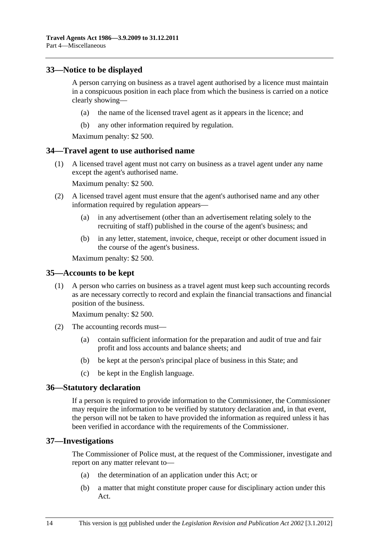# <span id="page-13-0"></span>**33—Notice to be displayed**

A person carrying on business as a travel agent authorised by a licence must maintain in a conspicuous position in each place from which the business is carried on a notice clearly showing—

- (a) the name of the licensed travel agent as it appears in the licence; and
- (b) any other information required by regulation.

Maximum penalty: \$2 500.

# **34—Travel agent to use authorised name**

 (1) A licensed travel agent must not carry on business as a travel agent under any name except the agent's authorised name.

Maximum penalty: \$2 500.

- (2) A licensed travel agent must ensure that the agent's authorised name and any other information required by regulation appears—
	- (a) in any advertisement (other than an advertisement relating solely to the recruiting of staff) published in the course of the agent's business; and
	- (b) in any letter, statement, invoice, cheque, receipt or other document issued in the course of the agent's business.

Maximum penalty: \$2 500.

#### **35—Accounts to be kept**

 (1) A person who carries on business as a travel agent must keep such accounting records as are necessary correctly to record and explain the financial transactions and financial position of the business.

Maximum penalty: \$2 500.

- (2) The accounting records must—
	- (a) contain sufficient information for the preparation and audit of true and fair profit and loss accounts and balance sheets; and
	- (b) be kept at the person's principal place of business in this State; and
	- (c) be kept in the English language.

#### **36—Statutory declaration**

If a person is required to provide information to the Commissioner, the Commissioner may require the information to be verified by statutory declaration and, in that event, the person will not be taken to have provided the information as required unless it has been verified in accordance with the requirements of the Commissioner.

#### **37—Investigations**

The Commissioner of Police must, at the request of the Commissioner, investigate and report on any matter relevant to—

- (a) the determination of an application under this Act; or
- (b) a matter that might constitute proper cause for disciplinary action under this Act.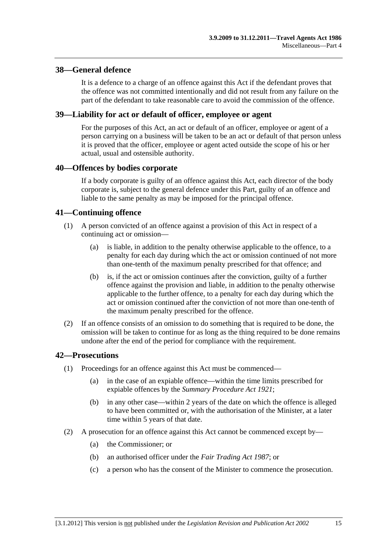### <span id="page-14-0"></span>**38—General defence**

It is a defence to a charge of an offence against this Act if the defendant proves that the offence was not committed intentionally and did not result from any failure on the part of the defendant to take reasonable care to avoid the commission of the offence.

#### **39—Liability for act or default of officer, employee or agent**

For the purposes of this Act, an act or default of an officer, employee or agent of a person carrying on a business will be taken to be an act or default of that person unless it is proved that the officer, employee or agent acted outside the scope of his or her actual, usual and ostensible authority.

#### **40—Offences by bodies corporate**

If a body corporate is guilty of an offence against this Act, each director of the body corporate is, subject to the general defence under this Part, guilty of an offence and liable to the same penalty as may be imposed for the principal offence.

#### **41—Continuing offence**

- (1) A person convicted of an offence against a provision of this Act in respect of a continuing act or omission—
	- (a) is liable, in addition to the penalty otherwise applicable to the offence, to a penalty for each day during which the act or omission continued of not more than one-tenth of the maximum penalty prescribed for that offence; and
	- (b) is, if the act or omission continues after the conviction, guilty of a further offence against the provision and liable, in addition to the penalty otherwise applicable to the further offence, to a penalty for each day during which the act or omission continued after the conviction of not more than one-tenth of the maximum penalty prescribed for the offence.
- (2) If an offence consists of an omission to do something that is required to be done, the omission will be taken to continue for as long as the thing required to be done remains undone after the end of the period for compliance with the requirement.

#### **42—Prosecutions**

- (1) Proceedings for an offence against this Act must be commenced—
	- (a) in the case of an expiable offence—within the time limits prescribed for expiable offences by the *[Summary Procedure Act 1921](http://www.legislation.sa.gov.au/index.aspx?action=legref&type=act&legtitle=Summary%20Procedure%20Act%201921)*;
	- (b) in any other case—within 2 years of the date on which the offence is alleged to have been committed or, with the authorisation of the Minister, at a later time within 5 years of that date.
- (2) A prosecution for an offence against this Act cannot be commenced except by—
	- (a) the Commissioner; or
	- (b) an authorised officer under the *[Fair Trading Act 1987](http://www.legislation.sa.gov.au/index.aspx?action=legref&type=act&legtitle=Fair%20Trading%20Act%201987)*; or
	- (c) a person who has the consent of the Minister to commence the prosecution.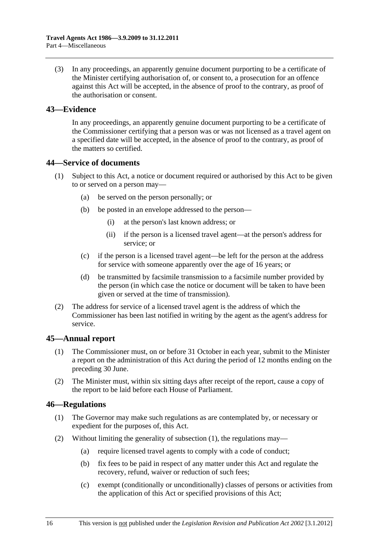<span id="page-15-0"></span> (3) In any proceedings, an apparently genuine document purporting to be a certificate of the Minister certifying authorisation of, or consent to, a prosecution for an offence against this Act will be accepted, in the absence of proof to the contrary, as proof of the authorisation or consent.

### **43—Evidence**

In any proceedings, an apparently genuine document purporting to be a certificate of the Commissioner certifying that a person was or was not licensed as a travel agent on a specified date will be accepted, in the absence of proof to the contrary, as proof of the matters so certified.

#### **44—Service of documents**

- (1) Subject to this Act, a notice or document required or authorised by this Act to be given to or served on a person may—
	- (a) be served on the person personally; or
	- (b) be posted in an envelope addressed to the person—
		- (i) at the person's last known address; or
		- (ii) if the person is a licensed travel agent—at the person's address for service; or
	- (c) if the person is a licensed travel agent—be left for the person at the address for service with someone apparently over the age of 16 years; or
	- (d) be transmitted by facsimile transmission to a facsimile number provided by the person (in which case the notice or document will be taken to have been given or served at the time of transmission).
- (2) The address for service of a licensed travel agent is the address of which the Commissioner has been last notified in writing by the agent as the agent's address for service.

# **45—Annual report**

- (1) The Commissioner must, on or before 31 October in each year, submit to the Minister a report on the administration of this Act during the period of 12 months ending on the preceding 30 June.
- (2) The Minister must, within six sitting days after receipt of the report, cause a copy of the report to be laid before each House of Parliament.

# **46—Regulations**

- (1) The Governor may make such regulations as are contemplated by, or necessary or expedient for the purposes of, this Act.
- (2) Without limiting the generality of [subsection \(1\),](#page-15-0) the regulations may—
	- (a) require licensed travel agents to comply with a code of conduct;
	- (b) fix fees to be paid in respect of any matter under this Act and regulate the recovery, refund, waiver or reduction of such fees;
	- (c) exempt (conditionally or unconditionally) classes of persons or activities from the application of this Act or specified provisions of this Act;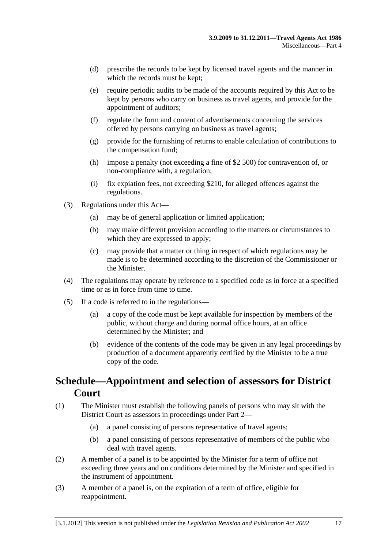- <span id="page-16-0"></span> (d) prescribe the records to be kept by licensed travel agents and the manner in which the records must be kept;
- (e) require periodic audits to be made of the accounts required by this Act to be kept by persons who carry on business as travel agents, and provide for the appointment of auditors;
- (f) regulate the form and content of advertisements concerning the services offered by persons carrying on business as travel agents;
- (g) provide for the furnishing of returns to enable calculation of contributions to the compensation fund;
- (h) impose a penalty (not exceeding a fine of \$2 500) for contravention of, or non-compliance with, a regulation;
- (i) fix expiation fees, not exceeding \$210, for alleged offences against the regulations.
- (3) Regulations under this Act—
	- (a) may be of general application or limited application;
	- (b) may make different provision according to the matters or circumstances to which they are expressed to apply;
	- (c) may provide that a matter or thing in respect of which regulations may be made is to be determined according to the discretion of the Commissioner or the Minister.
- (4) The regulations may operate by reference to a specified code as in force at a specified time or as in force from time to time.
- (5) If a code is referred to in the regulations—
	- (a) a copy of the code must be kept available for inspection by members of the public, without charge and during normal office hours, at an office determined by the Minister; and
	- (b) evidence of the contents of the code may be given in any legal proceedings by production of a document apparently certified by the Minister to be a true copy of the code.

# **Schedule—Appointment and selection of assessors for District Court**

- (1) The Minister must establish the following panels of persons who may sit with the District Court as assessors in proceedings under [Part 2](#page-3-0)—
	- (a) a panel consisting of persons representative of travel agents;
	- (b) a panel consisting of persons representative of members of the public who deal with travel agents.
- (2) A member of a panel is to be appointed by the Minister for a term of office not exceeding three years and on conditions determined by the Minister and specified in the instrument of appointment.
- (3) A member of a panel is, on the expiration of a term of office, eligible for reappointment.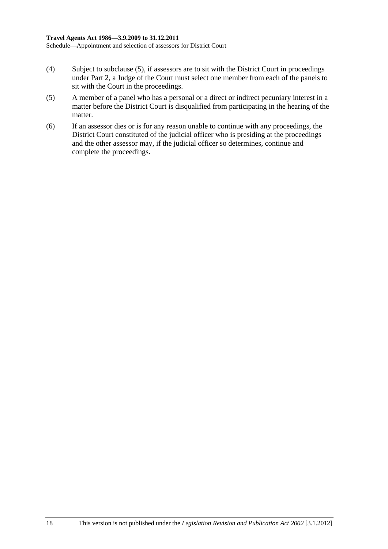- <span id="page-17-0"></span>(4) Subject to [subclause \(5\),](#page-17-0) if assessors are to sit with the District Court in proceedings under [Part 2,](#page-3-0) a Judge of the Court must select one member from each of the panels to sit with the Court in the proceedings.
- (5) A member of a panel who has a personal or a direct or indirect pecuniary interest in a matter before the District Court is disqualified from participating in the hearing of the matter.
- (6) If an assessor dies or is for any reason unable to continue with any proceedings, the District Court constituted of the judicial officer who is presiding at the proceedings and the other assessor may, if the judicial officer so determines, continue and complete the proceedings.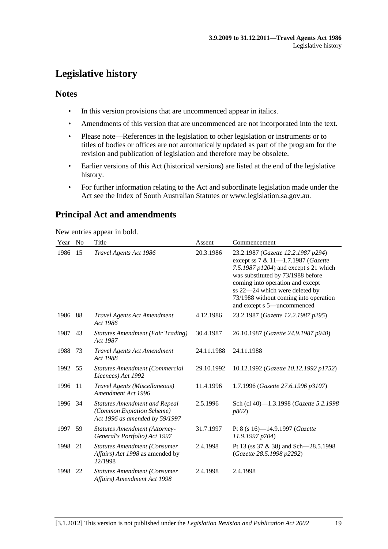# <span id="page-18-0"></span>**Legislative history**

# **Notes**

- In this version provisions that are uncommenced appear in italics.
- Amendments of this version that are uncommenced are not incorporated into the text.
- Please note—References in the legislation to other legislation or instruments or to titles of bodies or offices are not automatically updated as part of the program for the revision and publication of legislation and therefore may be obsolete.
- Earlier versions of this Act (historical versions) are listed at the end of the legislative history.
- For further information relating to the Act and subordinate legislation made under the Act see the Index of South Australian Statutes or www.legislation.sa.gov.au.

# **Principal Act and amendments**

New entries appear in bold.

| Year | N <sub>o</sub> | Title                                                                                               | Assent     | Commencement                                                                                                                                                                                                                                                                                           |
|------|----------------|-----------------------------------------------------------------------------------------------------|------------|--------------------------------------------------------------------------------------------------------------------------------------------------------------------------------------------------------------------------------------------------------------------------------------------------------|
| 1986 | 15             | Travel Agents Act 1986                                                                              | 20.3.1986  | 23.2.1987 (Gazette 12.2.1987 p294)<br>except ss 7 & 11-1.7.1987 (Gazette<br>7.5.1987 $p1204$ ) and except s 21 which<br>was substituted by 73/1988 before<br>coming into operation and except<br>ss 22-24 which were deleted by<br>73/1988 without coming into operation<br>and except s 5-uncommenced |
| 1986 | 88             | <b>Travel Agents Act Amendment</b><br>Act 1986                                                      | 4.12.1986  | 23.2.1987 (Gazette 12.2.1987 p295)                                                                                                                                                                                                                                                                     |
| 1987 | 43             | <b>Statutes Amendment (Fair Trading)</b><br>Act 1987                                                | 30.4.1987  | 26.10.1987 (Gazette 24.9.1987 p940)                                                                                                                                                                                                                                                                    |
| 1988 | 73             | <b>Travel Agents Act Amendment</b><br>Act 1988                                                      | 24.11.1988 | 24.11.1988                                                                                                                                                                                                                                                                                             |
| 1992 | 55             | <b>Statutes Amendment (Commercial</b><br>Licences) Act 1992                                         | 29.10.1992 | 10.12.1992 (Gazette 10.12.1992 p1752)                                                                                                                                                                                                                                                                  |
| 1996 | -11            | Travel Agents (Miscellaneous)<br>Amendment Act 1996                                                 | 11.4.1996  | 1.7.1996 (Gazette 27.6.1996 p3107)                                                                                                                                                                                                                                                                     |
| 1996 | 34             | <b>Statutes Amendment and Repeal</b><br>(Common Expiation Scheme)<br>Act 1996 as amended by 59/1997 | 2.5.1996   | Sch (cl 40)-1.3.1998 (Gazette 5.2.1998<br>p862)                                                                                                                                                                                                                                                        |
| 1997 | 59             | <b>Statutes Amendment (Attorney-</b><br>General's Portfolio) Act 1997                               | 31.7.1997  | Pt 8 (s 16)-14.9.1997 (Gazette<br>11.9.1997 p704)                                                                                                                                                                                                                                                      |
| 1998 | 21             | <b>Statutes Amendment (Consumer</b><br>Affairs) Act 1998 as amended by<br>22/1998                   | 2.4.1998   | Pt 13 (ss 37 & 38) and Sch-28.5.1998<br>(Gazette 28.5.1998 p2292)                                                                                                                                                                                                                                      |
| 1998 | 22             | <b>Statutes Amendment (Consumer</b><br>Affairs) Amendment Act 1998                                  | 2.4.1998   | 2.4.1998                                                                                                                                                                                                                                                                                               |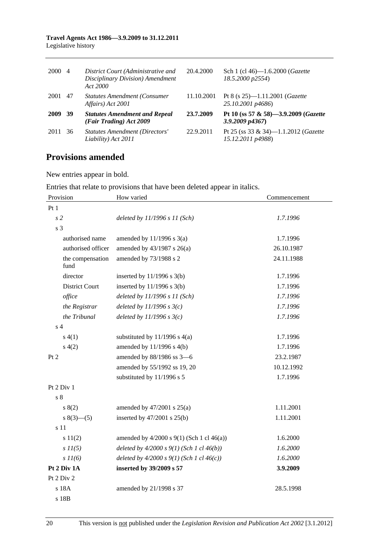#### **Travel Agents Act 1986—3.9.2009 to 31.12.2011**  Legislative history

| 2000 | 4    | District Court (Administrative and<br>Disciplinary Division) Amendment<br>Act 2000 | 20.4.2000  | Sch 1 (cl 46)-1.6.2000 ( <i>Gazette</i><br>18.5.2000 p2554)    |
|------|------|------------------------------------------------------------------------------------|------------|----------------------------------------------------------------|
| 2001 | 47   | <b>Statutes Amendment (Consumer</b><br>Affairs) Act 2001                           | 11.10.2001 | Pt 8 (s $25$ )—1.11.2001 ( <i>Gazette</i><br>25.10.2001 p4686) |
| 2009 | - 39 | <b>Statutes Amendment and Repeal</b><br>(Fair Trading) Act 2009                    | 23.7.2009  | Pt 10 (ss 57 & 58)-3.9.2009 (Gazette<br>$3.9.2009$ $p4367$ )   |
| 2011 | -36  | <b>Statutes Amendment (Directors'</b><br>Liability) Act 2011                       | 22.9.2011  | Pt 25 (ss 33 & 34)-1.1.2012 (Gazette<br>15.12.2011 p4988)      |

# **Provisions amended**

New entries appear in bold.

Entries that relate to provisions that have been deleted appear in italics.

| Provision                | How varied                                       | Commencement |  |  |  |
|--------------------------|--------------------------------------------------|--------------|--|--|--|
| Pt1                      |                                                  |              |  |  |  |
| s <sub>2</sub>           | deleted by $11/1996 s 11 (Sch)$                  | 1.7.1996     |  |  |  |
| s <sub>3</sub>           |                                                  |              |  |  |  |
| authorised name          | amended by $11/1996$ s $3(a)$                    | 1.7.1996     |  |  |  |
| authorised officer       | amended by $43/1987$ s $26(a)$                   | 26.10.1987   |  |  |  |
| the compensation<br>fund | amended by 73/1988 s 2                           | 24.11.1988   |  |  |  |
| director                 | inserted by $11/1996$ s $3(b)$                   | 1.7.1996     |  |  |  |
| <b>District Court</b>    | inserted by $11/1996$ s $3(b)$                   | 1.7.1996     |  |  |  |
| office                   | deleted by $11/1996 s 11$ (Sch)                  | 1.7.1996     |  |  |  |
| the Registrar            | deleted by $11/1996$ s $3(c)$                    | 1.7.1996     |  |  |  |
| the Tribunal             | deleted by $11/1996$ s $3(c)$                    | 1.7.1996     |  |  |  |
| s <sub>4</sub>           |                                                  |              |  |  |  |
| s(4(1))                  | substituted by $11/1996$ s $4(a)$                | 1.7.1996     |  |  |  |
| s(4(2)                   | amended by 11/1996 s 4(b)                        | 1.7.1996     |  |  |  |
| Pt 2                     | amended by 88/1986 ss 3-6                        | 23.2.1987    |  |  |  |
|                          | amended by 55/1992 ss 19, 20                     | 10.12.1992   |  |  |  |
|                          | substituted by 11/1996 s 5                       | 1.7.1996     |  |  |  |
| Pt 2 Div 1               |                                                  |              |  |  |  |
| s <sub>8</sub>           |                                                  |              |  |  |  |
| s(2)                     | amended by $47/2001$ s $25(a)$                   | 1.11.2001    |  |  |  |
| $s(3)$ (3) (5)           | inserted by $47/2001$ s $25(b)$                  | 1.11.2001    |  |  |  |
| s 11                     |                                                  |              |  |  |  |
| s 11(2)                  | amended by $4/2000$ s $9(1)$ (Sch 1 cl $46(a)$ ) | 1.6.2000     |  |  |  |
| $s$ $11(5)$              | deleted by $4/2000 s 9(1)$ (Sch 1 cl $46(b)$ )   | 1.6.2000     |  |  |  |
| $s$ $11(6)$              | deleted by $4/2000 s 9(1)$ (Sch 1 cl $46(c)$ )   | 1.6.2000     |  |  |  |
| Pt 2 Div 1A              | inserted by 39/2009 s 57                         | 3.9.2009     |  |  |  |
| Pt 2 Div 2               |                                                  |              |  |  |  |
| s 18A                    | amended by 21/1998 s 37                          | 28.5.1998    |  |  |  |
| s 18B                    |                                                  |              |  |  |  |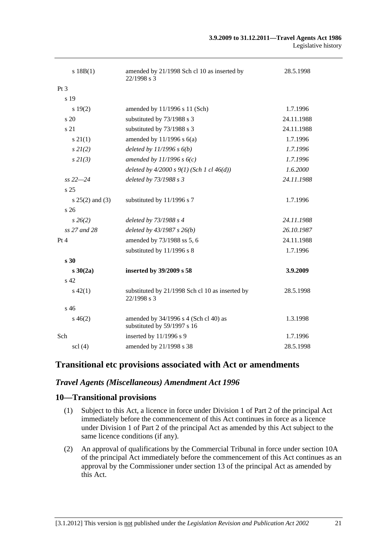| s 18B(1)          | amended by 21/1998 Sch cl 10 as inserted by<br>22/1998 s 3           | 28.5.1998  |
|-------------------|----------------------------------------------------------------------|------------|
| Pt <sub>3</sub>   |                                                                      |            |
| s 19              |                                                                      |            |
| s 19(2)           | amended by 11/1996 s 11 (Sch)                                        | 1.7.1996   |
| s 20              | substituted by 73/1988 s 3                                           | 24.11.1988 |
| s 21              | substituted by 73/1988 s 3                                           | 24.11.1988 |
| $s \, 21(1)$      | amended by $11/1996$ s $6(a)$                                        | 1.7.1996   |
| $s$ 2 $l(2)$      | deleted by $11/1996 s 6(b)$                                          | 1.7.1996   |
| $s$ 2 $I(3)$      | amended by $11/1996 s 6(c)$                                          | 1.7.1996   |
|                   | deleted by $4/2000 s 9(1)$ (Sch 1 cl $46(d)$ )                       | 1.6.2000   |
| $ss 22 - 24$      | deleted by 73/1988 s 3                                               | 24.11.1988 |
| s 25              |                                                                      |            |
| $s 25(2)$ and (3) | substituted by 11/1996 s 7                                           | 1.7.1996   |
| s26               |                                                                      |            |
| $s\,26(2)$        | deleted by 73/1988 s 4                                               | 24.11.1988 |
| ss 27 and 28      | deleted by $43/1987 s 26(b)$                                         | 26.10.1987 |
| Pt 4              | amended by 73/1988 ss 5, 6                                           | 24.11.1988 |
|                   | substituted by 11/1996 s 8                                           | 1.7.1996   |
| s 30              |                                                                      |            |
| s30(2a)           | inserted by 39/2009 s 58                                             | 3.9.2009   |
| s <sub>42</sub>   |                                                                      |            |
| $s\ 42(1)$        | substituted by 21/1998 Sch cl 10 as inserted by<br>22/1998 s 3       | 28.5.1998  |
| s 46              |                                                                      |            |
| $s\,46(2)$        | amended by 34/1996 s 4 (Sch cl 40) as<br>substituted by 59/1997 s 16 | 1.3.1998   |
| Sch               | inserted by 11/1996 s 9                                              | 1.7.1996   |
| $\text{sc}$ (4)   | amended by 21/1998 s 38                                              | 28.5.1998  |

# **Transitional etc provisions associated with Act or amendments**

# *Travel Agents (Miscellaneous) Amendment Act 1996*

#### **10—Transitional provisions**

- (1) Subject to this Act, a licence in force under Division 1 of Part 2 of the principal Act immediately before the commencement of this Act continues in force as a licence under Division 1 of Part 2 of the principal Act as amended by this Act subject to the same licence conditions (if any).
- (2) An approval of qualifications by the Commercial Tribunal in force under section 10A of the principal Act immediately before the commencement of this Act continues as an approval by the Commissioner under section 13 of the principal Act as amended by this Act.